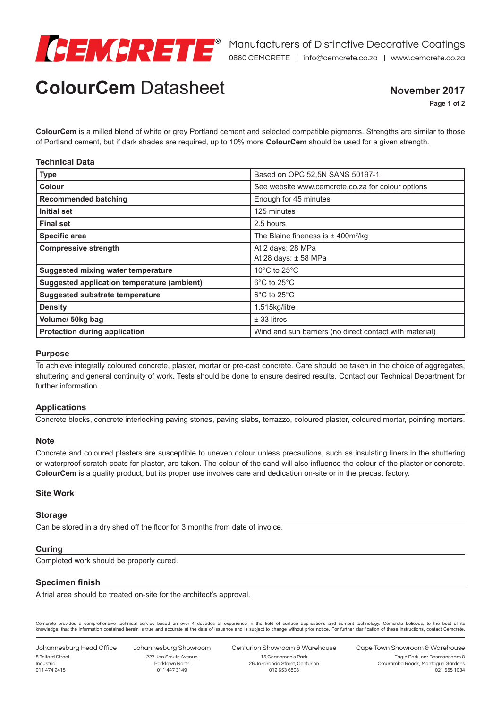

# **ColourCem** Datasheet

### **November 2017**

**Page 1 of 2**

**ColourCem** is a milled blend of white or grey Portland cement and selected compatible pigments. Strengths are similar to those of Portland cement, but if dark shades are required, up to 10% more **ColourCem** should be used for a given strength.

| <b>Technical Data</b> |  |
|-----------------------|--|
|-----------------------|--|

| <b>Type</b>                                        | Based on OPC 52,5N SANS 50197-1                         |
|----------------------------------------------------|---------------------------------------------------------|
| Colour                                             | See website www.cemcrete.co.za for colour options       |
| <b>Recommended batching</b>                        | Enough for 45 minutes                                   |
| Initial set                                        | 125 minutes                                             |
| <b>Final set</b>                                   | 2.5 hours                                               |
| <b>Specific area</b>                               | The Blaine fineness is $\pm$ 400m <sup>2</sup> /kg      |
| <b>Compressive strength</b>                        | At 2 days: 28 MPa                                       |
|                                                    | At 28 days: ± 58 MPa                                    |
| <b>Suggested mixing water temperature</b>          | 10 $\degree$ C to 25 $\degree$ C                        |
| <b>Suggested application temperature (ambient)</b> | $6^{\circ}$ C to 25 $^{\circ}$ C                        |
| <b>Suggested substrate temperature</b>             | $6^{\circ}$ C to 25 $^{\circ}$ C                        |
| <b>Density</b>                                     | 1.515kg/litre                                           |
| Volume/ 50kg bag                                   | $±$ 33 litres                                           |
| <b>Protection during application</b>               | Wind and sun barriers (no direct contact with material) |

#### **Purpose**

To achieve integrally coloured concrete, plaster, mortar or pre-cast concrete. Care should be taken in the choice of aggregates, shuttering and general continuity of work. Tests should be done to ensure desired results. Contact our Technical Department for further information.

#### **Applications**

Concrete blocks, concrete interlocking paving stones, paving slabs, terrazzo, coloured plaster, coloured mortar, pointing mortars.

#### **Note**

Concrete and coloured plasters are susceptible to uneven colour unless precautions, such as insulating liners in the shuttering or waterproof scratch-coats for plaster, are taken. The colour of the sand will also influence the colour of the plaster or concrete. **ColourCem** is a quality product, but its proper use involves care and dedication on-site or in the precast factory.

#### **Site Work**

#### **Storage**

Can be stored in a dry shed off the floor for 3 months from date of invoice.

#### **Curing**

Completed work should be properly cured.

#### **Specimen finish**

A trial area should be treated on-site for the architect's approval.

Cemcrete provides a comprehensive technical service based on over 4 decades of experience in the field of surface applications and cement technology. Cemcrete believes, to the best of its knowledge, that the information contained herein is true and accurate at the date of issuance and is subject to change without prior notice. For further clarification of these instructions, contact Cemcrete.

Johannesburg Head Office 8 Telford Street Industria 011 474 2415

Johannesburg Showroom 227 Jan Smuts Avenue Parktown North 011 447 3149

Centurion Showroom & Warehouse 15 Coachmen's Park 26 Jakaranda Street, Centurion

012 653 6808

Cape Town Showroom & Warehouse

Eagle Park, cnr Bosmansdam & Omuramba Roads, Montague Gardens 021 555 1034